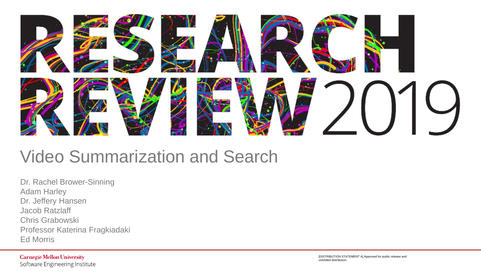

### Video Summarization and Search

Dr. Rachel Brower-Sinning Adam Harley Dr. Jeffery Hansen Jacob Ratzlaff Chris Grabowski Professor Katerina Fragkiadaki Ed Morris

**Carnegie Mellon University** Software Engineering Institute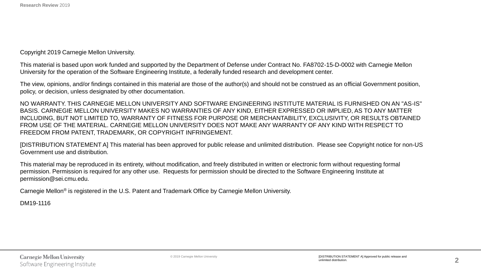Copyright 2019 Carnegie Mellon University.

This material is based upon work funded and supported by the Department of Defense under Contract No. FA8702-15-D-0002 with Carnegie Mellon University for the operation of the Software Engineering Institute, a federally funded research and development center.

The view, opinions, and/or findings contained in this material are those of the author(s) and should not be construed as an official Government position, policy, or decision, unless designated by other documentation.

NO WARRANTY. THIS CARNEGIE MELLON UNIVERSITY AND SOFTWARE ENGINEERING INSTITUTE MATERIAL IS FURNISHED ON AN "AS-IS" BASIS. CARNEGIE MELLON UNIVERSITY MAKES NO WARRANTIES OF ANY KIND, EITHER EXPRESSED OR IMPLIED, AS TO ANY MATTER INCLUDING, BUT NOT LIMITED TO, WARRANTY OF FITNESS FOR PURPOSE OR MERCHANTABILITY, EXCLUSIVITY, OR RESULTS OBTAINED FROM USE OF THE MATERIAL. CARNEGIE MELLON UNIVERSITY DOES NOT MAKE ANY WARRANTY OF ANY KIND WITH RESPECT TO FREEDOM FROM PATENT, TRADEMARK, OR COPYRIGHT INFRINGEMENT.

[DISTRIBUTION STATEMENT A] This material has been approved for public release and unlimited distribution. Please see Copyright notice for non-US Government use and distribution.

This material may be reproduced in its entirety, without modification, and freely distributed in written or electronic form without requesting formal permission. Permission is required for any other use. Requests for permission should be directed to the Software Engineering Institute at permission@sei.cmu.edu.

Carnegie Mellon® is registered in the U.S. Patent and Trademark Office by Carnegie Mellon University.

DM19-1116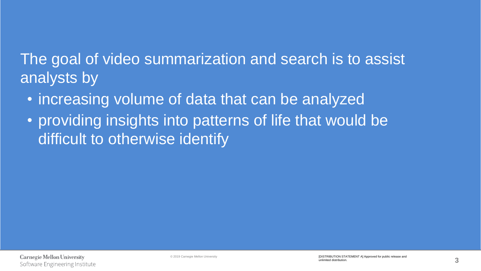The goal of video summarization and search is to assist analysts by

- increasing volume of data that can be analyzed
- providing insights into patterns of life that would be difficult to otherwise identify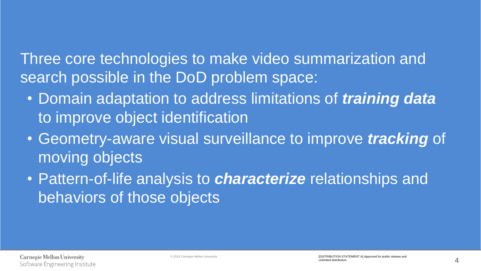Three core technologies to make video summarization and search possible in the DoD problem space:

- Domain adaptation to address limitations of *training data*  to improve object identification
- Geometry-aware visual surveillance to improve *tracking* of moving objects
- Pattern-of-life analysis to *characterize* relationships and behaviors of those objects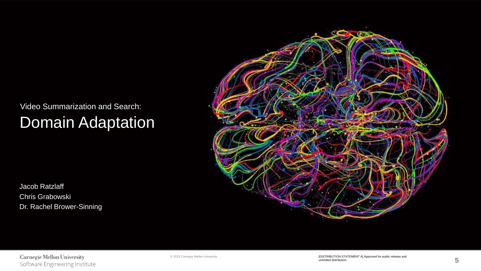### Video Summarization and Search: Domain Adaptation

Jacob Ratzlaff Chris Grabowski Dr. Rachel Brower-Sinning



**Carnegie Mellon University** Software Engineering Institute

© 2019 Carnegie Mellon University [DISTRIBUTION STATEMENT A] Approved for public release and unlimited distribution.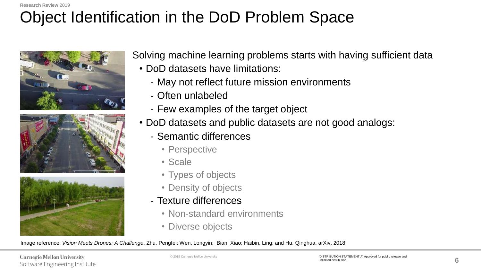### Object Identification in the DoD Problem Space







Solving machine learning problems starts with having sufficient data

- DoD datasets have limitations:
	- May not reflect future mission environments
	- Often unlabeled
	- Few examples of the target object
- DoD datasets and public datasets are not good analogs:
	- Semantic differences
		- Perspective
		- Scale
		- Types of objects
		- Density of objects
	- Texture differences
		- Non-standard environments
		- Diverse objects

Image reference: *Vision Meets Drones: A Challenge*. Zhu, Pengfei; Wen, Longyin; Bian, Xiao; Haibin, Ling; and Hu, Qinghua. arXiv. 2018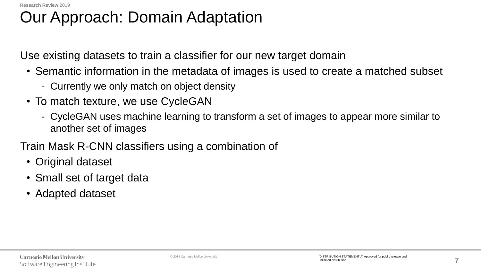# Our Approach: Domain Adaptation

Use existing datasets to train a classifier for our new target domain

- Semantic information in the metadata of images is used to create a matched subset
	- Currently we only match on object density
- To match texture, we use CycleGAN
	- CycleGAN uses machine learning to transform a set of images to appear more similar to another set of images

Train Mask R-CNN classifiers using a combination of

- Original dataset
- Small set of target data
- Adapted dataset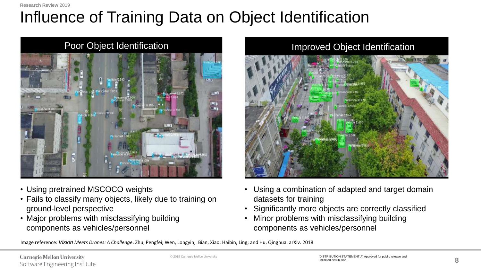**Research Review** 2019

## Influence of Training Data on Object Identification



- Using pretrained MSCOCO weights
- Fails to classify many objects, likely due to training on ground-level perspective
- Major problems with misclassifying building components as vehicles/personnel

#### Improved Object Identification

- Using a combination of adapted and target domain datasets for training
- Significantly more objects are correctly classified
- Minor problems with misclassifying building components as vehicles/personnel

Image reference: *Vision Meets Drones: A Challenge*. Zhu, Pengfei; Wen, Longyin; Bian, Xiao; Haibin, Ling; and Hu, Qinghua. arXiv. 2018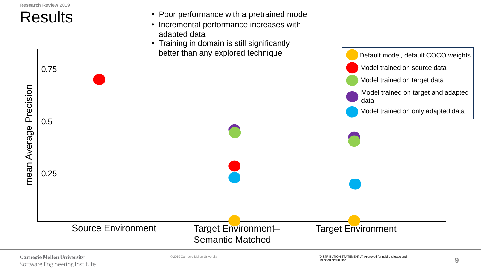

**Carnegie Mellon University** Software Engineering Institute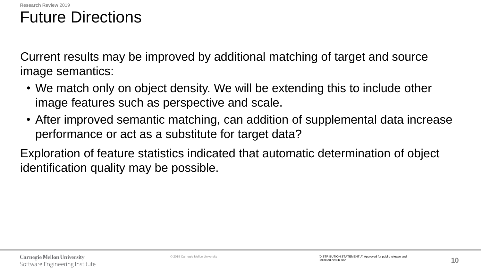### Future Directions

Current results may be improved by additional matching of target and source image semantics:

- We match only on object density. We will be extending this to include other image features such as perspective and scale.
- After improved semantic matching, can addition of supplemental data increase performance or act as a substitute for target data?

Exploration of feature statistics indicated that automatic determination of object identification quality may be possible.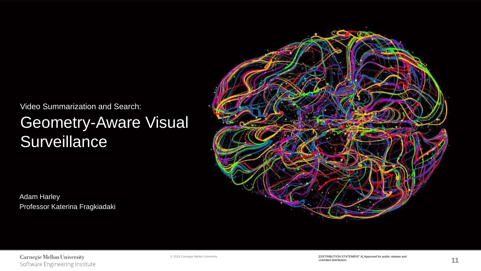Video Summarization and Search:

### Geometry-Aware Visual **Surveillance**

Adam Harley Professor Katerina Fragkiadaki



**Carnegie Mellon University** Software Engineering Institute

© 2019 Carnegie Mellon University **and the Carnet State of Carnet Alexander Constant Constant Constant Constant Constant Constant Constant Constant Constant Constant Constant Constant Constant Constant Constant Constant Co** unlimited distribution.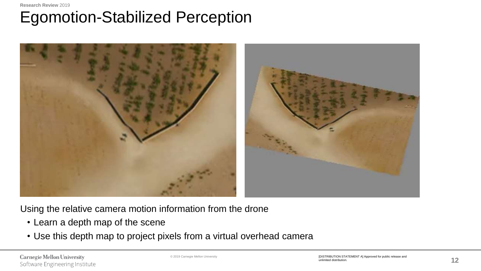#### **Research Review** 2019 Egomotion-Stabilized Perception



Using the relative camera motion information from the drone

- Learn a depth map of the scene
- Use this depth map to project pixels from a virtual overhead camera

**Carnegie Mellon University** Software Engineering Institute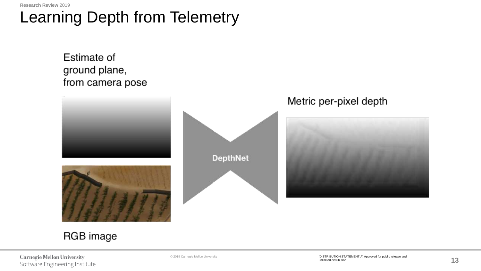### Learning Depth from Telemetry

Estimate of ground plane, from camera pose



### RGB image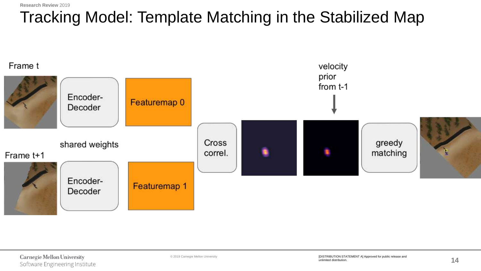### Tracking Model: Template Matching in the Stabilized Map

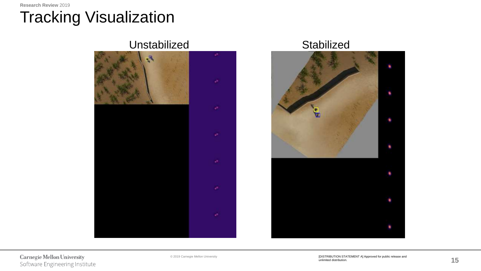# Tracking Visualization

Unstabilized Stabilized J.





**Carnegie Mellon University** Software Engineering Institute

×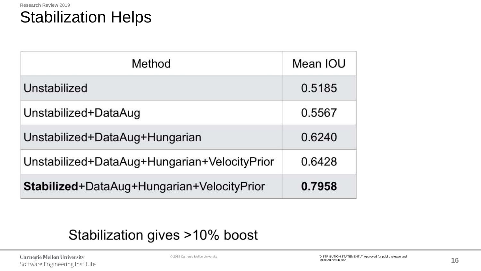

| Method                                       | Mean IOU |
|----------------------------------------------|----------|
| Unstabilized                                 | 0.5185   |
| Unstabilized+DataAug                         | 0.5567   |
| Unstabilized+DataAug+Hungarian               | 0.6240   |
| Unstabilized+DataAug+Hungarian+VelocityPrior | 0.6428   |
| Stabilized+DataAug+Hungarian+VelocityPrior   | 0.7958   |

### Stabilization gives >10% boost

**Carnegie Mellon University** Software Engineering Institute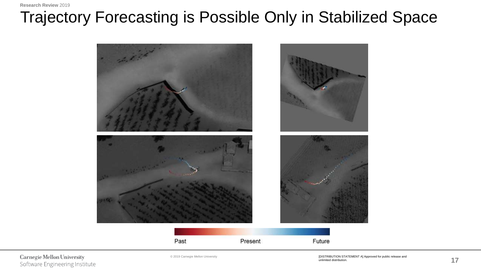### **Research Review** 2019 Trajectory Forecasting is Possible Only in Stabilized Space



**Carnegie Mellon University** Software Engineering Institute

© 2019 Carnegie Mellon University **and the Carnet State of Carnet Alexander Constant Constant Constant Constant Constant Constant Constant Constant Constant Constant Constant Constant Constant Constant Constant Constant Co** unlimited distribution.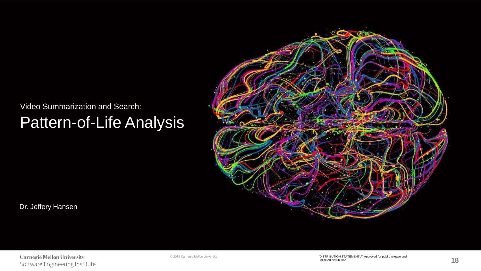#### Video Summarization and Search:

### Pattern-of-Life Analysis



Dr. Jeffery Hansen

**Carnegie Mellon University** Software Engineering Institute

© 2019 Carnegie Mellon University [DISTRIBUTION STATEMENT A] Approved for public release and unlimited distribution.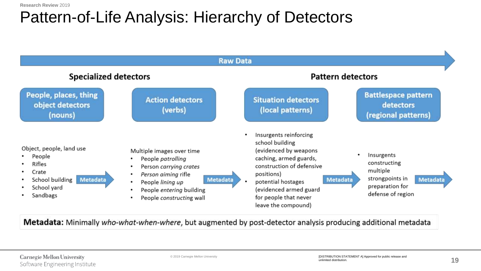### Pattern-of-Life Analysis: Hierarchy of Detectors

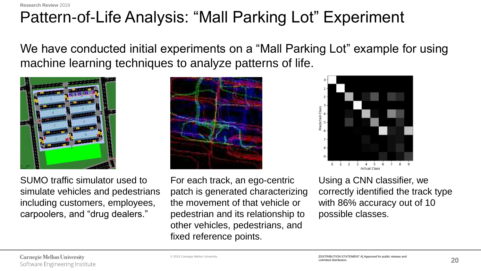**Research Review** 2019

### Pattern-of-Life Analysis: "Mall Parking Lot" Experiment

We have conducted initial experiments on a "Mall Parking Lot" example for using machine learning techniques to analyze patterns of life.



SUMO traffic simulator used to simulate vehicles and pedestrians including customers, employees, carpoolers, and "drug dealers."





Actual Class Using a CNN classifier, we correctly identified the track type with 86% accuracy out of 10 possible classes.

 $0 \t1 \t2 \t3$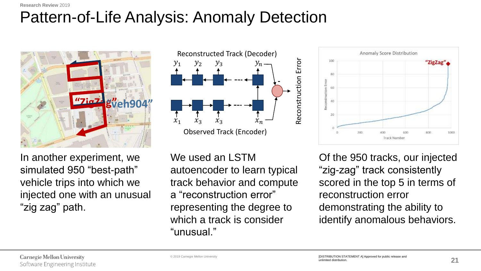### **Research Review** 2019 Pattern-of-Life Analysis: Anomaly Detection



In another experiment, we simulated 950 "best-path" vehicle trips into which we injected one with an unusual "zig zag" path.



We used an LSTM autoencoder to learn typical track behavior and compute a "reconstruction error" representing the degree to which a track is consider "unusual."



Of the 950 tracks, our injected "zig-zag" track consistently scored in the top 5 in terms of reconstruction error demonstrating the ability to identify anomalous behaviors.